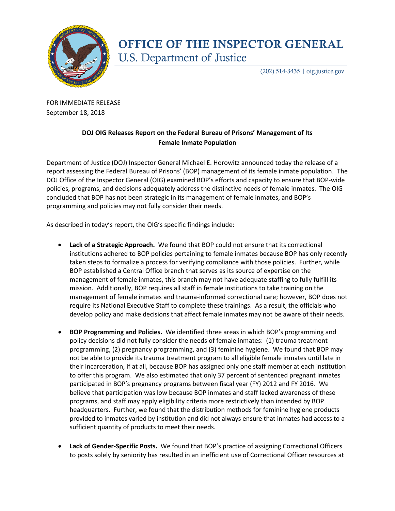

## **OFFICE OF THE INSPECTOR GENERAL U.S. Department of Justice**

 $(202)$  514-3435 | oig.justice.gov

FOR IMMEDIATE RELEASE September 18, 2018

## **DOJ OIG Releases Report on the Federal Bureau of Prisons' Management of Its Female Inmate Population**

Department of Justice (DOJ) Inspector General Michael E. Horowitz announced today the release of a report assessing the Federal Bureau of Prisons' (BOP) management of its female inmate population. The DOJ Office of the Inspector General (OIG) examined BOP's efforts and capacity to ensure that BOP-wide policies, programs, and decisions adequately address the distinctive needs of female inmates. The OIG concluded that BOP has not been strategic in its management of female inmates, and BOP's programming and policies may not fully consider their needs.

As described in today's report, the OIG's specific findings include:

- **Lack of a Strategic Approach.** We found that BOP could not ensure that its correctional institutions adhered to BOP policies pertaining to female inmates because BOP has only recently taken steps to formalize a process for verifying compliance with those policies. Further, while BOP established a Central Office branch that serves as its source of expertise on the management of female inmates, this branch may not have adequate staffing to fully fulfill its mission. Additionally, BOP requires all staff in female institutions to take training on the management of female inmates and trauma-informed correctional care; however, BOP does not require its National Executive Staff to complete these trainings. As a result, the officials who develop policy and make decisions that affect female inmates may not be aware of their needs.
- **BOP Programming and Policies.** We identified three areas in which BOP's programming and policy decisions did not fully consider the needs of female inmates: (1) trauma treatment programming, (2) pregnancy programming, and (3) feminine hygiene. We found that BOP may not be able to provide its trauma treatment program to all eligible female inmates until late in their incarceration, if at all, because BOP has assigned only one staff member at each institution to offer this program. We also estimated that only 37 percent of sentenced pregnant inmates participated in BOP's pregnancy programs between fiscal year (FY) 2012 and FY 2016. We believe that participation was low because BOP inmates and staff lacked awareness of these programs, and staff may apply eligibility criteria more restrictively than intended by BOP headquarters. Further, we found that the distribution methods for feminine hygiene products provided to inmates varied by institution and did not always ensure that inmates had access to a sufficient quantity of products to meet their needs.
- **Lack of Gender-Specific Posts.** We found that BOP's practice of assigning Correctional Officers to posts solely by seniority has resulted in an inefficient use of Correctional Officer resources at